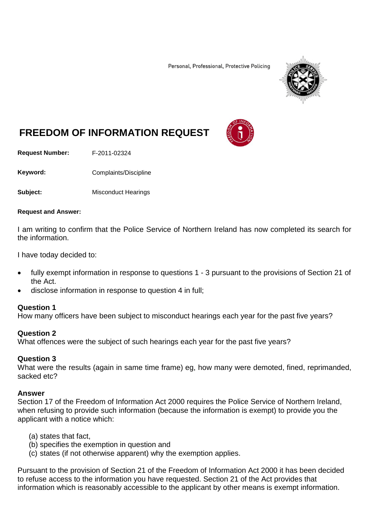Personal, Professional, Protective Policing



# **FREEDOM OF INFORMATION REQUEST**

**Request Number:** F-2011-02324

Keyword: Complaints/Discipline

**Subject:** Misconduct Hearings

#### **Request and Answer:**

I am writing to confirm that the Police Service of Northern Ireland has now completed its search for the information.

I have today decided to:

- fully exempt information in response to questions 1 3 pursuant to the provisions of Section 21 of the Act.
- disclose information in response to question 4 in full;

### **Question 1**

How many officers have been subject to misconduct hearings each year for the past five years?

## **Question 2**

What offences were the subject of such hearings each year for the past five years?

## **Question 3**

What were the results (again in same time frame) eg, how many were demoted, fined, reprimanded, sacked etc?

### **Answer**

Section 17 of the Freedom of Information Act 2000 requires the Police Service of Northern Ireland, when refusing to provide such information (because the information is exempt) to provide you the applicant with a notice which:

- (a) states that fact,
- (b) specifies the exemption in question and
- (c) states (if not otherwise apparent) why the exemption applies.

Pursuant to the provision of Section 21 of the Freedom of Information Act 2000 it has been decided to refuse access to the information you have requested. Section 21 of the Act provides that information which is reasonably accessible to the applicant by other means is exempt information.